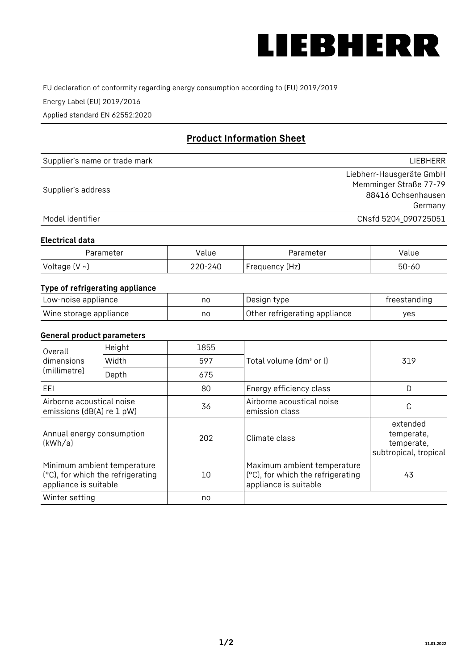

EU declaration of conformity regarding energy consumption according to (EU) 2019/2019

Energy Label (EU) 2019/2016

Applied standard EN 62552:2020

# **Product Information Sheet**

| Supplier's name or trade mark | LIEBHERR                 |
|-------------------------------|--------------------------|
|                               | Liebherr-Hausgeräte GmbH |
| Supplier's address            | Memminger Straße 77-79   |
|                               | 88416 Ochsenhausen       |
|                               | Germany                  |
| Model identifier              | CNsfd 5204_090725051     |

#### **Electrical data**

| Parameter          | Value   | Parameter      | alue  |
|--------------------|---------|----------------|-------|
| Voltage $(V \sim)$ | 220-240 | Frequency (Hz) | 50-60 |

# **Type of refrigerating appliance**

| Low-noise appliance    | nc | Design type                   | freestanding |
|------------------------|----|-------------------------------|--------------|
| Wine storage appliance | nc | Other refrigerating appliance | ves          |

### **General product parameters**

| Height<br>Overall                                      |                                                                  | 1855 |                                                                                           |                                                               |
|--------------------------------------------------------|------------------------------------------------------------------|------|-------------------------------------------------------------------------------------------|---------------------------------------------------------------|
| dimensions<br>(millimetre)                             | Width                                                            | 597  | Total volume (dm <sup>3</sup> or l)                                                       | 319                                                           |
|                                                        | Depth                                                            | 675  |                                                                                           |                                                               |
| EEL                                                    |                                                                  | 80   | Energy efficiency class                                                                   | D                                                             |
| Airborne acoustical noise<br>emissions (dB(A) re 1 pW) |                                                                  | 36   | Airborne acoustical noise<br>emission class                                               | С                                                             |
| Annual energy consumption<br>(kWh/a)                   |                                                                  | 202  | Climate class                                                                             | extended<br>temperate,<br>temperate,<br>subtropical, tropical |
| appliance is suitable                                  | Minimum ambient temperature<br>(°C), for which the refrigerating | 10   | Maximum ambient temperature<br>(°C), for which the refrigerating<br>appliance is suitable | 43                                                            |
| Winter setting                                         |                                                                  | no   |                                                                                           |                                                               |